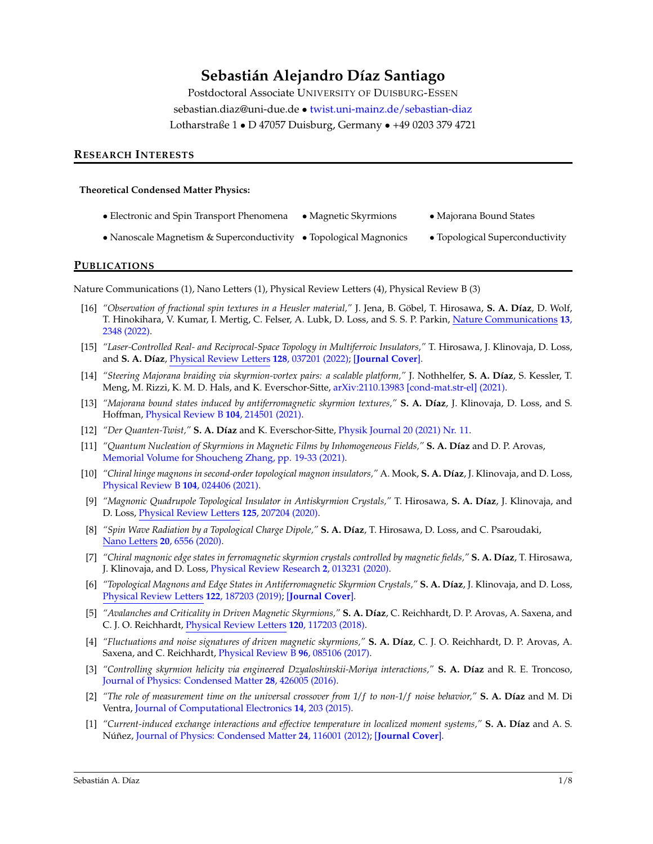# **Sebastián Alejandro Díaz Santiago**

Postdoctoral Associate UNIVERSITY OF DUISBURG-ESSEN sebastian.diaz@uni-due.de • [twist.uni-mainz.de/sebastian-diaz](https://www.twist.uni-mainz.de/sebastian-diaz) Lotharstraße 1 • D 47057 Duisburg, Germany • +49 0203 379 4721

#### **RESEARCH INTERESTS**

#### **Theoretical Condensed Matter Physics:**

- Electronic and Spin Transport Phenomena Magnetic Skyrmions Majorana Bound States
- Nanoscale Magnetism & Superconductivity Topological Magnonics Topological Superconductivity

#### **PUBLICATIONS**

Nature Communications (1), Nano Letters (1), Physical Review Letters (4), Physical Review B (3)

- [16] "Observation of fractional spin textures in a Heusler material," J. Jena, B. Göbel, T. Hirosawa, S. A. Díaz, D. Wolf, T. Hinokihara, V. Kumar, I. Mertig, C. Felser, A. Lubk, D. Loss, and S. S. P. Parkin, [Nature Communications](https://doi.org/10.1038/s41467-022-29991-1) **13**, [2348 \(2022\).](https://doi.org/10.1038/s41467-022-29991-1)
- [15] *"Laser-Controlled Real- and Reciprocal-Space Topology in Multiferroic Insulators,"* T. Hirosawa, J. Klinovaja, D. Loss, and **S. A. D´ıaz**, [Physical Review Letters](https://link.aps.org/doi/10.1103/PhysRevLett.128.037201) **128**, 037201 (2022); [**[Journal Cover](https://journals.aps.org/prl/covers/128/3)**].
- [14] *"Steering Majorana braiding via skyrmion-vortex pairs: a scalable platform,"* J. Nothhelfer, **S. A. D´ıaz**, S. Kessler, T. Meng, M. Rizzi, K. M. D. Hals, and K. Everschor-Sitte, [arXiv:2110.13983 \[cond-mat.str-el\] \(2021\).](https://arxiv.org/abs/2110.13983)
- [13] *"Majorana bound states induced by antiferromagnetic skyrmion textures," S. A. Díaz, J. Klinovaja, D. Loss, and S.* Hoffman, [Physical Review B](https://dx.doi.org/10.1103/PhysRevB.104.214501) **104**, 214501 (2021).
- [12] *"Der Quanten-Twist,"* **S. A. D´ıaz** and K. Everschor-Sitte, [Physik Journal 20 \(2021\) Nr. 11.](https://www.pro-physik.de/physik-journal/november-2021)
- [11] *"Quantum Nucleation of Skyrmions in Magnetic Films by Inhomogeneous Fields,"* **S. A. Díaz** and D. P. Arovas, [Memorial Volume for Shoucheng Zhang, pp. 19-33 \(2021\).](https://dx.doi.org/10.1142/9789811231711_0004)
- [10] *"Chiral hinge magnons in second-order topological magnon insulators,"* A. Mook, **S. A. D´ıaz**, J. Klinovaja, and D. Loss, [Physical Review B](https://dx.doi.org/10.1103/PhysRevB.104.024406) **104**, 024406 (2021).
- [9] *"Magnonic Quadrupole Topological Insulator in Antiskyrmion Crystals,"* T. Hirosawa, **S. A. D´ıaz**, J. Klinovaja, and D. Loss, [Physical Review Letters](https://dx.doi.org/10.1103/PhysRevLett.125.207204) **125**, 207204 (2020).
- [8] *"Spin Wave Radiation by a Topological Charge Dipole,"* **S. A. D´ıaz**, T. Hirosawa, D. Loss, and C. Psaroudaki, [Nano Letters](https://doi.org/10.1021/acs.nanolett.0c02192) **20**, 6556 (2020).
- [7] *"Chiral magnonic edge states in ferromagnetic skyrmion crystals controlled by magnetic fields,"* **S. A. D´ıaz**, T. Hirosawa, J. Klinovaja, and D. Loss, [Physical Review Research](https://dx.doi.org/10.1103/PhysRevResearch.2.013231) **2**, 013231 (2020).
- [6] *"Topological Magnons and Edge States in Antiferromagnetic Skyrmion Crystals,"* **S. A. D´ıaz**, J. Klinovaja, and D. Loss, [Physical Review Letters](https://dx.doi.org/10.1103/PhysRevLett.122.187203) **122**, 187203 (2019); [**[Journal Cover](https://journals.aps.org/prl/covers/122/18)**].
- [5] "Avalanches and Criticality in Driven Magnetic Skyrmions," **S. A. Díaz**, C. Reichhardt, D. P. Arovas, A. Saxena, and C. J. O. Reichhardt, [Physical Review Letters](https://dx.doi.org/10.1103/PhysRevLett.120.117203) **120**, 117203 (2018).
- [4] *"Fluctuations and noise signatures of driven magnetic skyrmions,"* **S. A. D´ıaz**, C. J. O. Reichhardt, D. P. Arovas, A. Saxena, and C. Reichhardt, [Physical Review B](https://dx.doi.org/10.1103/PhysRevB.96.085106) **96**, 085106 (2017).
- [3] *"Controlling skyrmion helicity via engineered Dzyaloshinskii-Moriya interactions,"* **S. A. D´ıaz** and R. E. Troncoso, [Journal of Physics: Condensed Matter](https://dx.doi.org/10.1088/0953-8984/28/42/426005) **28**, 426005 (2016).
- [2] *"The role of measurement time on the universal crossover from 1/*f *to non-1/*f *noise behavior,"* **S. A. D´ıaz** and M. Di Ventra, [Journal of Computational Electronics](https://dx.doi.org/10.1007/s10825-014-0641-5) **14**, 203 (2015).
- [1] *"Current-induced exchange interactions and effective temperature in localized moment systems,"* **S. A. D´ıaz** and A. S. Núñez, [Journal of Physics: Condensed Matter](https://dx.doi.org/10.1088/0953-8984/24/11/116001) 24, 116001 (2012); [[Journal Cover](https://ej.iop.org/pdf/jpcm/covers/2012/cm2411-webcover.pdf)].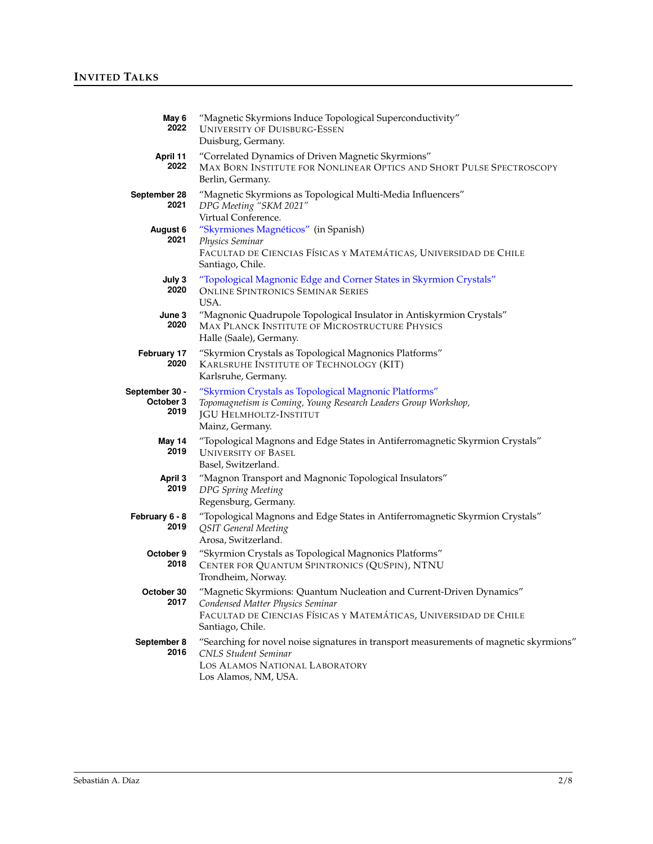| May 6<br>2022                            | "Magnetic Skyrmions Induce Topological Superconductivity"<br><b>UNIVERSITY OF DUISBURG-ESSEN</b><br>Duisburg, Germany.                                                                           |
|------------------------------------------|--------------------------------------------------------------------------------------------------------------------------------------------------------------------------------------------------|
| April 11<br>2022                         | "Correlated Dynamics of Driven Magnetic Skyrmions"<br>MAX BORN INSTITUTE FOR NONLINEAR OPTICS AND SHORT PULSE SPECTROSCOPY<br>Berlin, Germany.                                                   |
| September 28<br>2021<br>August 6<br>2021 | "Magnetic Skyrmions as Topological Multi-Media Influencers"<br>DPG Meeting "SKM 2021"<br>Virtual Conference.<br>"Skyrmiones Magnéticos" (in Spanish)                                             |
|                                          | Physics Seminar<br>FACULTAD DE CIENCIAS FÍSICAS Y MATEMÁTICAS, UNIVERSIDAD DE CHILE<br>Santiago, Chile.                                                                                          |
| July 3<br>2020                           | "Topological Magnonic Edge and Corner States in Skyrmion Crystals"<br><b>ONLINE SPINTRONICS SEMINAR SERIES</b><br>USA.                                                                           |
| June 3<br>2020                           | "Magnonic Quadrupole Topological Insulator in Antiskyrmion Crystals"<br><b>MAX PLANCK INSTITUTE OF MICROSTRUCTURE PHYSICS</b><br>Halle (Saale), Germany.                                         |
| February 17<br>2020                      | "Skyrmion Crystals as Topological Magnonics Platforms"<br>KARLSRUHE INSTITUTE OF TECHNOLOGY (KIT)<br>Karlsruhe, Germany.                                                                         |
| September 30 -<br>October 3<br>2019      | "Skyrmion Crystals as Topological Magnonic Platforms"<br>Topomagnetism is Coming, Young Research Leaders Group Workshop,<br><b>JGU HELMHOLTZ-INSTITUT</b><br>Mainz, Germany.                     |
| May 14<br>2019                           | "Topological Magnons and Edge States in Antiferromagnetic Skyrmion Crystals"<br><b>UNIVERSITY OF BASEL</b><br>Basel, Switzerland.                                                                |
| April 3<br>2019                          | "Magnon Transport and Magnonic Topological Insulators"<br>DPG Spring Meeting<br>Regensburg, Germany.                                                                                             |
| February 6 - 8<br>2019                   | "Topological Magnons and Edge States in Antiferromagnetic Skyrmion Crystals"<br><b>QSIT</b> General Meeting<br>Arosa, Switzerland.                                                               |
| October 9<br>2018                        | "Skyrmion Crystals as Topological Magnonics Platforms"<br>CENTER FOR QUANTUM SPINTRONICS (QUSPIN), NTNU<br>Trondheim, Norway.                                                                    |
| October 30<br>2017                       | "Magnetic Skyrmions: Quantum Nucleation and Current-Driven Dynamics"<br>Condensed Matter Physics Seminar<br>FACULTAD DE CIENCIAS FÍSICAS Y MATEMÁTICAS, UNIVERSIDAD DE CHILE<br>Santiago, Chile. |
| September 8<br>2016                      | "Searching for novel noise signatures in transport measurements of magnetic skyrmions"<br><b>CNLS Student Seminar</b><br>LOS ALAMOS NATIONAL LABORATORY<br>Los Alamos, NM, USA.                  |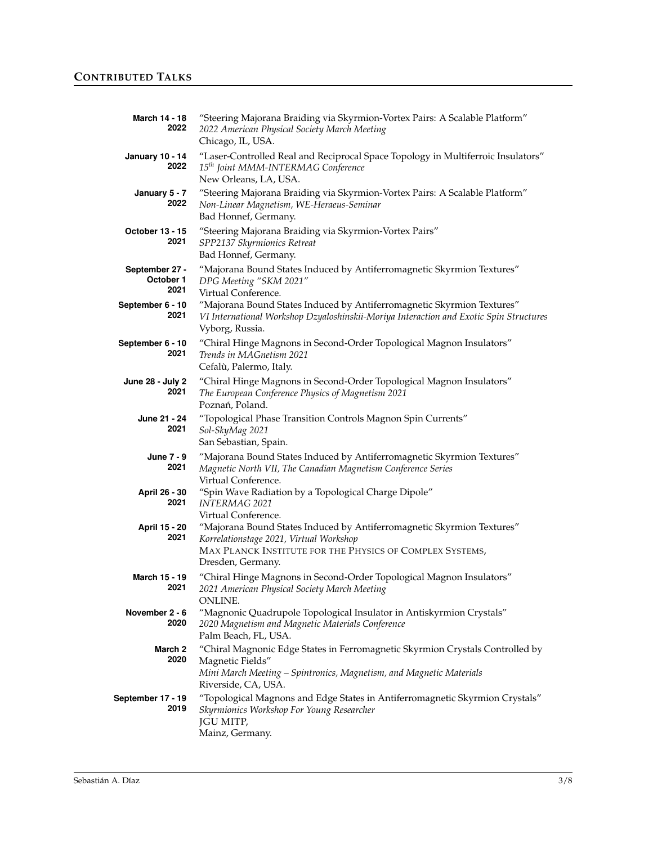| March 14 - 18<br>2022               | "Steering Majorana Braiding via Skyrmion-Vortex Pairs: A Scalable Platform"<br>2022 American Physical Society March Meeting<br>Chicago, IL, USA.                                                   |
|-------------------------------------|----------------------------------------------------------------------------------------------------------------------------------------------------------------------------------------------------|
| <b>January 10 - 14</b><br>2022      | "Laser-Controlled Real and Reciprocal Space Topology in Multiferroic Insulators"<br>15 <sup>th</sup> Joint MMM-INTERMAG Conference<br>New Orleans, LA, USA.                                        |
| January 5 - 7<br>2022               | "Steering Majorana Braiding via Skyrmion-Vortex Pairs: A Scalable Platform"<br>Non-Linear Magnetism, WE-Heraeus-Seminar<br>Bad Honnef, Germany.                                                    |
| October 13 - 15<br>2021             | "Steering Majorana Braiding via Skyrmion-Vortex Pairs"<br>SPP2137 Skyrmionics Retreat<br>Bad Honnef, Germany.                                                                                      |
| September 27 -<br>October 1<br>2021 | "Majorana Bound States Induced by Antiferromagnetic Skyrmion Textures"<br>DPG Meeting "SKM 2021"<br>Virtual Conference.                                                                            |
| September 6 - 10<br>2021            | "Majorana Bound States Induced by Antiferromagnetic Skyrmion Textures"<br>VI International Workshop Dzyaloshinskii-Moriya Interaction and Exotic Spin Structures<br>Vyborg, Russia.                |
| September 6 - 10<br>2021            | "Chiral Hinge Magnons in Second-Order Topological Magnon Insulators"<br>Trends in MAGnetism 2021<br>Cefalù, Palermo, Italy.                                                                        |
| June 28 - July 2<br>2021            | "Chiral Hinge Magnons in Second-Order Topological Magnon Insulators"<br>The European Conference Physics of Magnetism 2021<br>Poznań, Poland.                                                       |
| June 21 - 24<br>2021                | "Topological Phase Transition Controls Magnon Spin Currents"<br>Sol-SkyMag 2021<br>San Sebastian, Spain.                                                                                           |
| June 7 - 9<br>2021                  | "Majorana Bound States Induced by Antiferromagnetic Skyrmion Textures"<br>Magnetic North VII, The Canadian Magnetism Conference Series<br>Virtual Conference.                                      |
| April 26 - 30<br>2021               | "Spin Wave Radiation by a Topological Charge Dipole"<br><i>INTERMAG 2021</i><br>Virtual Conference.                                                                                                |
| April 15 - 20<br>2021               | "Majorana Bound States Induced by Antiferromagnetic Skyrmion Textures"<br>Korrelationstage 2021, Virtual Workshop<br>MAX PLANCK INSTITUTE FOR THE PHYSICS OF COMPLEX SYSTEMS,<br>Dresden, Germany. |
| March 15 - 19<br>2021               | "Chiral Hinge Magnons in Second-Order Topological Magnon Insulators"<br>2021 American Physical Society March Meeting<br>ONLINE.                                                                    |
| November 2 - 6<br>2020              | "Magnonic Quadrupole Topological Insulator in Antiskyrmion Crystals"<br>2020 Magnetism and Magnetic Materials Conference<br>Palm Beach, FL, USA.                                                   |
| March 2<br>2020                     | "Chiral Magnonic Edge States in Ferromagnetic Skyrmion Crystals Controlled by<br>Magnetic Fields"<br>Mini March Meeting - Spintronics, Magnetism, and Magnetic Materials<br>Riverside, CA, USA.    |
| September 17 - 19<br>2019           | "Topological Magnons and Edge States in Antiferromagnetic Skyrmion Crystals"<br>Skyrmionics Workshop For Young Researcher<br><b>JGU MITP,</b><br>Mainz, Germany.                                   |
|                                     |                                                                                                                                                                                                    |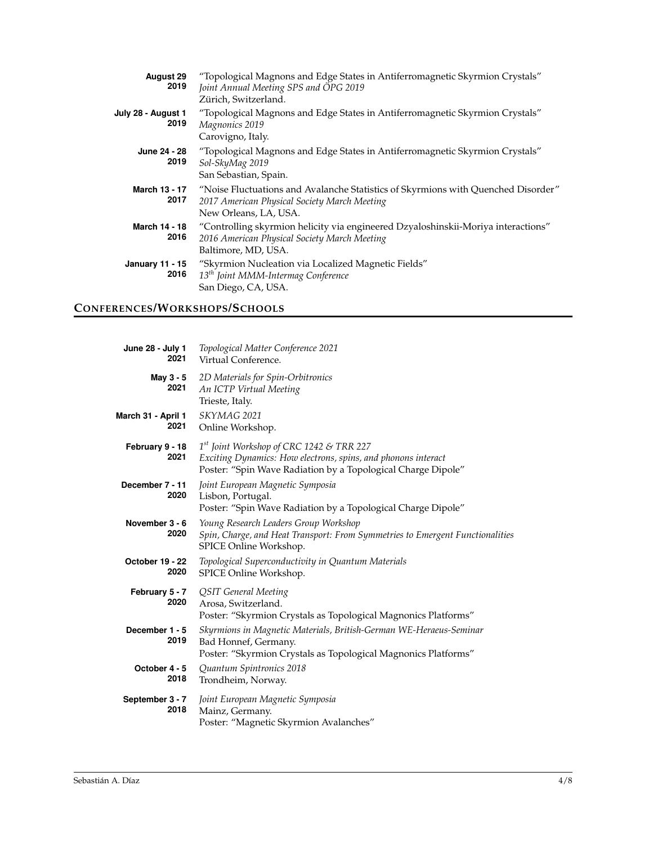| <b>August 29</b><br>2019       | "Topological Magnons and Edge States in Antiferromagnetic Skyrmion Crystals"<br>Joint Annual Meeting SPS and ÖPG 2019<br>Zürich, Switzerland.              |
|--------------------------------|------------------------------------------------------------------------------------------------------------------------------------------------------------|
| July 28 - August 1<br>2019     | "Topological Magnons and Edge States in Antiferromagnetic Skyrmion Crystals"<br>Magnonics 2019<br>Carovigno, Italy.                                        |
| June 24 - 28<br>2019           | "Topological Magnons and Edge States in Antiferromagnetic Skyrmion Crystals"<br>Sol-SkyMag 2019<br>San Sebastian, Spain.                                   |
| March 13 - 17<br>2017          | "Noise Fluctuations and Avalanche Statistics of Skyrmions with Quenched Disorder"<br>2017 American Physical Society March Meeting<br>New Orleans, LA, USA. |
| March 14 - 18<br>2016          | "Controlling skyrmion helicity via engineered Dzyaloshinskii-Moriya interactions"<br>2016 American Physical Society March Meeting<br>Baltimore, MD, USA.   |
| <b>January 11 - 15</b><br>2016 | "Skyrmion Nucleation via Localized Magnetic Fields"<br>13 <sup>th</sup> Joint MMM-Intermag Conference<br>San Diego, CA, USA.                               |

## **CONFERENCES/WORKSHOPS/SCHOOLS**

| June 28 - July 1<br>2021   | Topological Matter Conference 2021<br>Virtual Conference.                                                                                                                   |
|----------------------------|-----------------------------------------------------------------------------------------------------------------------------------------------------------------------------|
| May 3 - 5<br>2021          | 2D Materials for Spin-Orbitronics<br>An ICTP Virtual Meeting<br>Trieste, Italy.                                                                                             |
| March 31 - April 1<br>2021 | SKYMAG 2021<br>Online Workshop.                                                                                                                                             |
| February 9 - 18<br>2021    | $1st$ Joint Workshop of CRC 1242 & TRR 227<br>Exciting Dynamics: How electrons, spins, and phonons interact<br>Poster: "Spin Wave Radiation by a Topological Charge Dipole" |
| December 7 - 11<br>2020    | Joint European Magnetic Symposia<br>Lisbon, Portugal.<br>Poster: "Spin Wave Radiation by a Topological Charge Dipole"                                                       |
| November 3 - 6<br>2020     | Young Research Leaders Group Workshop<br>Spin, Charge, and Heat Transport: From Symmetries to Emergent Functionalities<br>SPICE Online Workshop.                            |
| October 19 - 22<br>2020    | Topological Superconductivity in Quantum Materials<br>SPICE Online Workshop.                                                                                                |
| February 5 - 7<br>2020     | <b>QSIT</b> General Meeting<br>Arosa, Switzerland.<br>Poster: "Skyrmion Crystals as Topological Magnonics Platforms"                                                        |
| December 1 - 5<br>2019     | Skyrmions in Magnetic Materials, British-German WE-Heraeus-Seminar<br>Bad Honnef, Germany.<br>Poster: "Skyrmion Crystals as Topological Magnonics Platforms"                |
| October 4 - 5<br>2018      | Quantum Spintronics 2018<br>Trondheim, Norway.                                                                                                                              |
| September 3 - 7<br>2018    | Joint European Magnetic Symposia<br>Mainz, Germany.<br>Poster: "Magnetic Skyrmion Avalanches"                                                                               |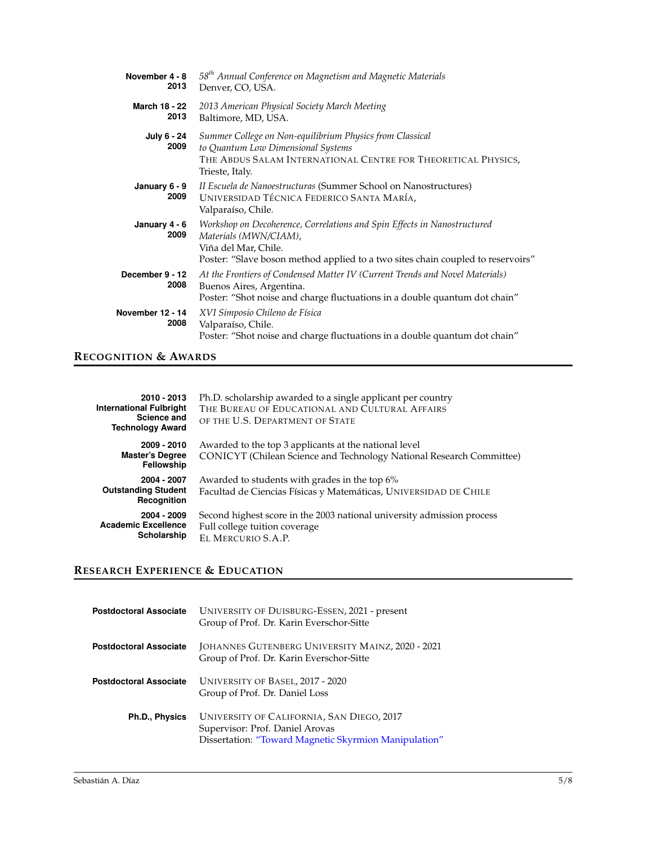| November 4 - 8<br>2013       | 58 <sup>th</sup> Annual Conference on Magnetism and Magnetic Materials<br>Denver, CO, USA.                                                                                                                   |
|------------------------------|--------------------------------------------------------------------------------------------------------------------------------------------------------------------------------------------------------------|
| <b>March 18 - 22</b><br>2013 | 2013 American Physical Society March Meeting<br>Baltimore, MD, USA.                                                                                                                                          |
| July 6 - 24<br>2009          | Summer College on Non-equilibrium Physics from Classical<br>to Quantum Low Dimensional Systems<br>THE ABDUS SALAM INTERNATIONAL CENTRE FOR THEORETICAL PHYSICS,<br>Trieste, Italy.                           |
| January 6 - 9<br>2009        | II Escuela de Nanoestructuras (Summer School on Nanostructures)<br>UNIVERSIDAD TÉCNICA FEDERICO SANTA MARÍA,<br>Valparaíso, Chile.                                                                           |
| January 4 - 6<br>2009        | Workshop on Decoherence, Correlations and Spin Effects in Nanostructured<br>Materials (MWN/CIAM),<br>Viña del Mar, Chile.<br>Poster: "Slave boson method applied to a two sites chain coupled to reservoirs" |
| December 9 - 12<br>2008      | At the Frontiers of Condensed Matter IV (Current Trends and Novel Materials)<br>Buenos Aires, Argentina.<br>Poster: "Shot noise and charge fluctuations in a double quantum dot chain"                       |
| November 12 - 14<br>2008     | XVI Simposio Chileno de Física<br>Valparaíso, Chile.<br>Poster: "Shot noise and charge fluctuations in a double quantum dot chain"                                                                           |

## **RECOGNITION & AWARDS**

| 2010 - 2013<br><b>International Fulbright</b><br>Science and<br><b>Technology Award</b> | Ph.D. scholarship awarded to a single applicant per country<br>THE BUREAU OF EDUCATIONAL AND CULTURAL AFFAIRS<br>OF THE U.S. DEPARTMENT OF STATE |
|-----------------------------------------------------------------------------------------|--------------------------------------------------------------------------------------------------------------------------------------------------|
| 2009 - 2010<br><b>Master's Degree</b><br>Fellowship                                     | Awarded to the top 3 applicants at the national level<br>CONICYT (Chilean Science and Technology National Research Committee)                    |
| 2004 - 2007<br><b>Outstanding Student</b><br>Recognition                                | Awarded to students with grades in the top 6%<br>Facultad de Ciencias Físicas y Matemáticas, UNIVERSIDAD DE CHILE                                |
| 2004 - 2009<br><b>Academic Excellence</b><br>Scholarship                                | Second highest score in the 2003 national university admission process<br>Full college tuition coverage<br>EL MERCURIO S.A.P.                    |

# **RESEARCH EXPERIENCE & EDUCATION**

| <b>Postdoctoral Associate</b> | UNIVERSITY OF DUISBURG-ESSEN, 2021 - present<br>Group of Prof. Dr. Karin Everschor-Sitte                                              |
|-------------------------------|---------------------------------------------------------------------------------------------------------------------------------------|
| <b>Postdoctoral Associate</b> | JOHANNES GUTENBERG UNIVERSITY MAINZ, 2020 - 2021<br>Group of Prof. Dr. Karin Everschor-Sitte                                          |
| <b>Postdoctoral Associate</b> | UNIVERSITY OF BASEL, 2017 - 2020<br>Group of Prof. Dr. Daniel Loss                                                                    |
| Ph.D., Physics                | UNIVERSITY OF CALIFORNIA, SAN DIEGO, 2017<br>Supervisor: Prof. Daniel Arovas<br>Dissertation: "Toward Magnetic Skyrmion Manipulation" |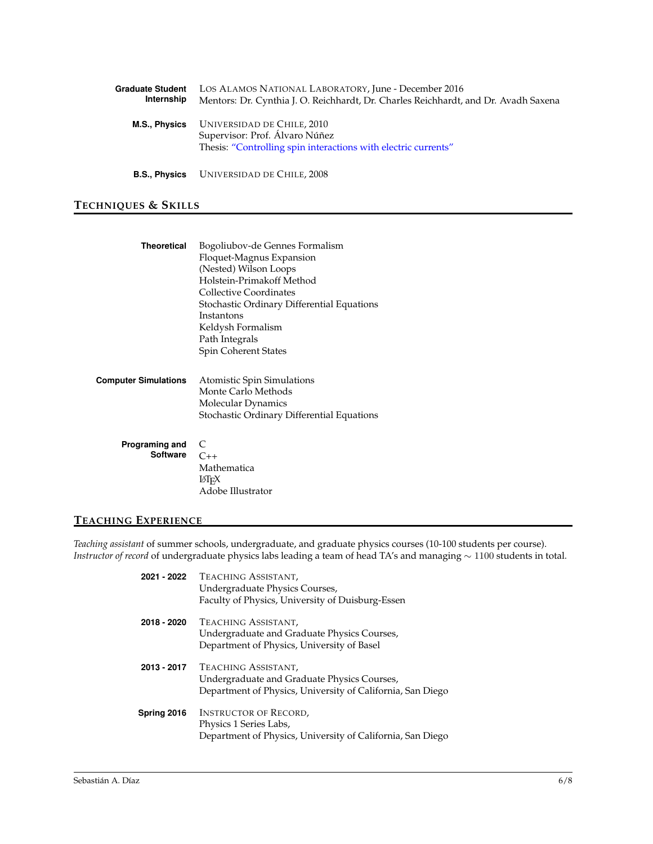| <b>Graduate Student</b><br>Internship | LOS ALAMOS NATIONAL LABORATORY, June - December 2016<br>Mentors: Dr. Cynthia J. O. Reichhardt, Dr. Charles Reichhardt, and Dr. Avadh Saxena |
|---------------------------------------|---------------------------------------------------------------------------------------------------------------------------------------------|
| M.S., Physics                         | UNIVERSIDAD DE CHILE, 2010<br>Supervisor: Prof. Álvaro Núñez<br>Thesis: "Controlling spin interactions with electric currents"              |
|                                       | <b>B.S., Physics</b> UNIVERSIDAD DE CHILE, 2008                                                                                             |

## **TECHNIQUES & SKILLS**

| <b>Theoretical</b>          | Bogoliubov-de Gennes Formalism             |
|-----------------------------|--------------------------------------------|
|                             | Floquet-Magnus Expansion                   |
|                             | (Nested) Wilson Loops                      |
|                             | Holstein-Primakoff Method                  |
|                             | <b>Collective Coordinates</b>              |
|                             | Stochastic Ordinary Differential Equations |
|                             | Instantons                                 |
|                             | Keldysh Formalism                          |
|                             | Path Integrals                             |
|                             | Spin Coherent States                       |
|                             |                                            |
| <b>Computer Simulations</b> | Atomistic Spin Simulations                 |
|                             | Monte Carlo Methods                        |
|                             | Molecular Dynamics                         |
|                             | Stochastic Ordinary Differential Equations |
|                             |                                            |
|                             |                                            |
| Programing and              | C                                          |
| Software                    | $C_{++}$                                   |
|                             | Mathematica                                |
|                             | ĿТғХ                                       |
|                             | Adobe Illustrator                          |

## **TEACHING EXPERIENCE**

*Teaching assistant* of summer schools, undergraduate, and graduate physics courses (10-100 students per course). *Instructor of record* of undergraduate physics labs leading a team of head TA's and managing ∼ 1100 students in total.

| 2021 - 2022 | TEACHING ASSISTANT,<br>Undergraduate Physics Courses,<br>Faculty of Physics, University of Duisburg-Essen                        |
|-------------|----------------------------------------------------------------------------------------------------------------------------------|
| 2018 - 2020 | TEACHING ASSISTANT,<br>Undergraduate and Graduate Physics Courses,<br>Department of Physics, University of Basel                 |
| 2013 - 2017 | TEACHING ASSISTANT,<br>Undergraduate and Graduate Physics Courses,<br>Department of Physics, University of California, San Diego |
| Spring 2016 | <b>INSTRUCTOR OF RECORD,</b><br>Physics 1 Series Labs,<br>Department of Physics, University of California, San Diego             |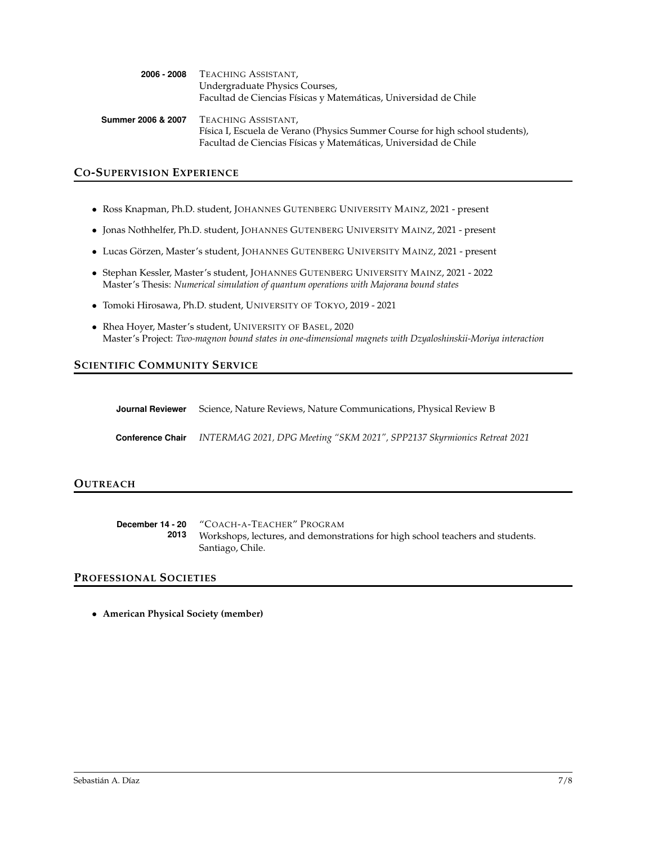| 2006 - 2008        | TEACHING ASSISTANT,                                                           |
|--------------------|-------------------------------------------------------------------------------|
|                    | Undergraduate Physics Courses,                                                |
|                    | Facultad de Ciencias Físicas y Matemáticas, Universidad de Chile              |
| Summer 2006 & 2007 | TEACHING ASSISTANT,                                                           |
|                    | Física I, Escuela de Verano (Physics Summer Course for high school students), |
|                    | Facultad de Ciencias Físicas y Matemáticas, Universidad de Chile              |

### **CO-SUPERVISION EXPERIENCE**

- Ross Knapman, Ph.D. student, JOHANNES GUTENBERG UNIVERSITY MAINZ, 2021 present
- Jonas Nothhelfer, Ph.D. student, JOHANNES GUTENBERG UNIVERSITY MAINZ, 2021 present
- Lucas Görzen, Master's student, JOHANNES GUTENBERG UNIVERSITY MAINZ, 2021 present
- Stephan Kessler, Master's student, JOHANNES GUTENBERG UNIVERSITY MAINZ, 2021 2022 Master's Thesis: *Numerical simulation of quantum operations with Majorana bound states*
- Tomoki Hirosawa, Ph.D. student, UNIVERSITY OF TOKYO, 2019 2021
- Rhea Hoyer, Master's student, UNIVERSITY OF BASEL, 2020 Master's Project: *Two-magnon bound states in one-dimensional magnets with Dzyaloshinskii-Moriya interaction*

### **SCIENTIFIC COMMUNITY SERVICE**

| <b>Journal Reviewer</b> Science, Nature Reviews, Nature Communications, Physical Review B |
|-------------------------------------------------------------------------------------------|
| Conference Chair INTERMAG 2021, DPG Meeting "SKM 2021", SPP2137 Skyrmionics Retreat 2021  |

#### **OUTREACH**

|      | <b>December 14 - 20</b> "COACH-A-TEACHER" PROGRAM                              |
|------|--------------------------------------------------------------------------------|
| 2013 | Workshops, lectures, and demonstrations for high school teachers and students. |
|      | Santiago, Chile.                                                               |

### **PROFESSIONAL SOCIETIES**

• **American Physical Society (member)**